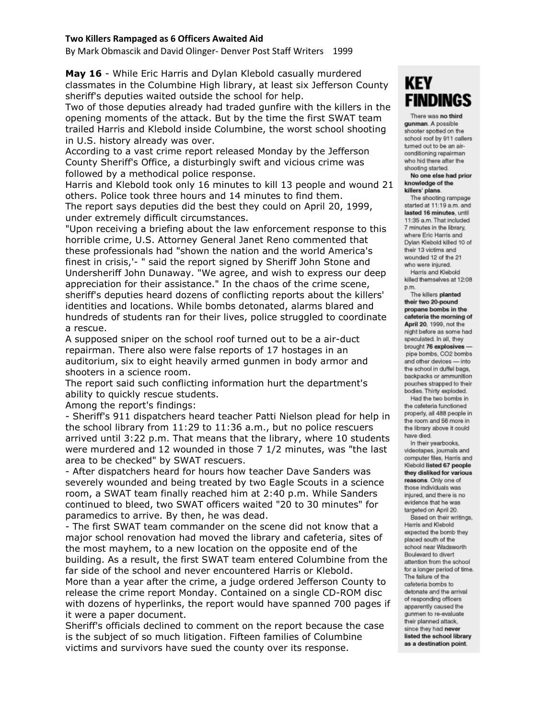## **Two Killers Rampaged as 6 Officers Awaited Aid**

By Mark Obmascik and David Olinger- Denver Post Staff Writers 1999

**May 16** - While Eric Harris and Dylan Klebold casually murdered classmates in the Columbine High library, at least six Jefferson County sheriff's deputies waited outside the school for help.

Two of those deputies already had traded gunfire with the killers in the opening moments of the attack. But by the time the first SWAT team trailed Harris and Klebold inside Columbine, the worst school shooting in U.S. history already was over.

According to a vast crime report released Monday by the Jefferson County Sheriff's Office, a disturbingly swift and vicious crime was followed by a methodical police response.

Harris and Klebold took only 16 minutes to kill 13 people and wound 21 others. Police took three hours and 14 minutes to find them. The report says deputies did the best they could on April 20, 1999, under extremely difficult circumstances.

"Upon receiving a briefing about the law enforcement response to this horrible crime, U.S. Attorney General Janet Reno commented that these professionals had "shown the nation and the world America's finest in crisis,'- " said the report signed by Sheriff John Stone and Undersheriff John Dunaway. "We agree, and wish to express our deep appreciation for their assistance." In the chaos of the crime scene, sheriff's deputies heard dozens of conflicting reports about the killers' identities and locations. While bombs detonated, alarms blared and hundreds of students ran for their lives, police struggled to coordinate a rescue.

A supposed sniper on the school roof turned out to be a air-duct repairman. There also were false reports of 17 hostages in an auditorium, six to eight heavily armed gunmen in body armor and shooters in a science room.

The report said such conflicting information hurt the department's ability to quickly rescue students.

Among the report's findings:

- Sheriff's 911 dispatchers heard teacher Patti Nielson plead for help in the school library from 11:29 to 11:36 a.m., but no police rescuers arrived until 3:22 p.m. That means that the library, where 10 students were murdered and 12 wounded in those 7 1/2 minutes, was "the last area to be checked" by SWAT rescuers.

- After dispatchers heard for hours how teacher Dave Sanders was severely wounded and being treated by two Eagle Scouts in a science room, a SWAT team finally reached him at 2:40 p.m. While Sanders continued to bleed, two SWAT officers waited "20 to 30 minutes" for paramedics to arrive. By then, he was dead.

- The first SWAT team commander on the scene did not know that a major school renovation had moved the library and cafeteria, sites of the most mayhem, to a new location on the opposite end of the building. As a result, the first SWAT team entered Columbine from the far side of the school and never encountered Harris or Klebold. More than a year after the crime, a judge ordered Jefferson County to release the crime report Monday. Contained on a single CD-ROM disc with dozens of hyperlinks, the report would have spanned 700 pages if it were a paper document.

Sheriff's officials declined to comment on the report because the case is the subject of so much litigation. Fifteen families of Columbine victims and survivors have sued the county over its response.

## **KEY FINDINGS**

There was no third gunman. A possible shooter spotted on the school roof by 911 callers turned out to be an airconditioning repairman who hid there after the shooting started.

No one else had prior knowledge of the killers' plans.

The shooting rampage started at 11:19 a.m. and lasted 16 minutes, until 11:35 a.m. That included 7 minutes in the library, where Eric Harris and Dylan Klebold killed 10 of their 13 victims and wounded 12 of the 21 who were injured.

Harris and Klebold killed themselves at 12:08 p.m.

The killers planted their two 20-pound propane bombs in the cafeteria the morning of April 20, 1999, not the night before as some had speculated, in all, they brought 76 explosives pipe bombs, CO2 bombs and other devices - into the school in duffel bags, backpacks or ammunition pouches strapped to their bodies. Thirty exploded. Had the two bombs in

the cafeteria functioned properly, all 488 people in the room and 56 more in the library above it could have died.

In their yearbooks. videotapes, journals and computer files, Harris and Klebold listed 67 people they disliked for various reasons. Only one of those individuals was injured, and there is no evidence that he was targeted on April 20.

Based on their writings. Harris and Klebold expected the bomb they placed south of the school near Wadsworth Boulevard to divert attention from the school for a longer period of time. The failure of the cafeteria bombs to detonate and the arrival of responding officers apparently caused the gunmen to re-evaluate their planned attack. since they had never listed the school library as a destination point.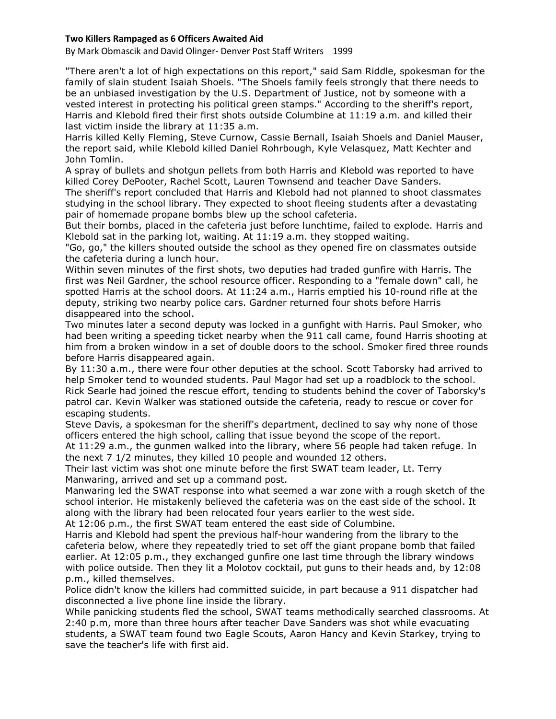## **Two Killers Rampaged as 6 Officers Awaited Aid**

By Mark Obmascik and David Olinger- Denver Post Staff Writers 1999

"There aren't a lot of high expectations on this report," said Sam Riddle, spokesman for the family of slain student Isaiah Shoels. "The Shoels family feels strongly that there needs to be an unbiased investigation by the U.S. Department of Justice, not by someone with a vested interest in protecting his political green stamps." According to the sheriff's report, Harris and Klebold fired their first shots outside Columbine at 11:19 a.m. and killed their last victim inside the library at 11:35 a.m.

Harris killed Kelly Fleming, Steve Curnow, Cassie Bernall, Isaiah Shoels and Daniel Mauser, the report said, while Klebold killed Daniel Rohrbough, Kyle Velasquez, Matt Kechter and John Tomlin.

A spray of bullets and shotgun pellets from both Harris and Klebold was reported to have killed Corey DePooter, Rachel Scott, Lauren Townsend and teacher Dave Sanders.

The sheriff's report concluded that Harris and Klebold had not planned to shoot classmates studying in the school library. They expected to shoot fleeing students after a devastating pair of homemade propane bombs blew up the school cafeteria.

But their bombs, placed in the cafeteria just before lunchtime, failed to explode. Harris and Klebold sat in the parking lot, waiting. At 11:19 a.m. they stopped waiting.

"Go, go," the killers shouted outside the school as they opened fire on classmates outside the cafeteria during a lunch hour.

Within seven minutes of the first shots, two deputies had traded gunfire with Harris. The first was Neil Gardner, the school resource officer. Responding to a "female down" call, he spotted Harris at the school doors. At 11:24 a.m., Harris emptied his 10-round rifle at the deputy, striking two nearby police cars. Gardner returned four shots before Harris disappeared into the school.

Two minutes later a second deputy was locked in a gunfight with Harris. Paul Smoker, who had been writing a speeding ticket nearby when the 911 call came, found Harris shooting at him from a broken window in a set of double doors to the school. Smoker fired three rounds before Harris disappeared again.

By 11:30 a.m., there were four other deputies at the school. Scott Taborsky had arrived to help Smoker tend to wounded students. Paul Magor had set up a roadblock to the school. Rick Searle had joined the rescue effort, tending to students behind the cover of Taborsky's patrol car. Kevin Walker was stationed outside the cafeteria, ready to rescue or cover for escaping students.

Steve Davis, a spokesman for the sheriff's department, declined to say why none of those officers entered the high school, calling that issue beyond the scope of the report.

At 11:29 a.m., the gunmen walked into the library, where 56 people had taken refuge. In the next 7 1/2 minutes, they killed 10 people and wounded 12 others.

Their last victim was shot one minute before the first SWAT team leader, Lt. Terry Manwaring, arrived and set up a command post.

Manwaring led the SWAT response into what seemed a war zone with a rough sketch of the school interior. He mistakenly believed the cafeteria was on the east side of the school. It along with the library had been relocated four years earlier to the west side.

At 12:06 p.m., the first SWAT team entered the east side of Columbine.

Harris and Klebold had spent the previous half-hour wandering from the library to the cafeteria below, where they repeatedly tried to set off the giant propane bomb that failed earlier. At 12:05 p.m., they exchanged gunfire one last time through the library windows with police outside. Then they lit a Molotov cocktail, put guns to their heads and, by 12:08 p.m., killed themselves.

Police didn't know the killers had committed suicide, in part because a 911 dispatcher had disconnected a live phone line inside the library.

While panicking students fled the school, SWAT teams methodically searched classrooms. At 2:40 p.m, more than three hours after teacher Dave Sanders was shot while evacuating students, a SWAT team found two Eagle Scouts, Aaron Hancy and Kevin Starkey, trying to save the teacher's life with first aid.